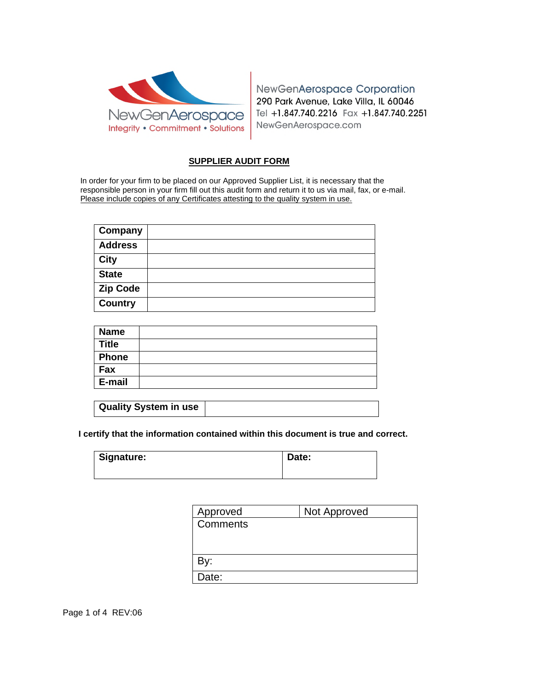

NewGenAerospace Corporation 290 Park Avenue, Lake Villa, IL 60046 Tel +1.847.740.2216 Fax +1.847.740.2251 NewGenAerospace.com

## **SUPPLIER AUDIT FORM**

In order for your firm to be placed on our Approved Supplier List, it is necessary that the responsible person in your firm fill out this audit form and return it to us via mail, fax, or e-mail. Please include copies of any Certificates attesting to the quality system in use.

| Company         |  |
|-----------------|--|
| <b>Address</b>  |  |
| <b>City</b>     |  |
| <b>State</b>    |  |
| <b>Zip Code</b> |  |
| <b>Country</b>  |  |

| <b>Name</b>  |  |
|--------------|--|
| <b>Title</b> |  |
| Phone        |  |
| Fax          |  |
| E-mail       |  |

| Quality System in use |  |
|-----------------------|--|
|                       |  |

**I certify that the information contained within this document is true and correct.**

| Signature: | Date: |
|------------|-------|
|            |       |

| Approved | Not Approved |
|----------|--------------|
| Comments |              |
|          |              |
|          |              |
| By:      |              |
| Date:    |              |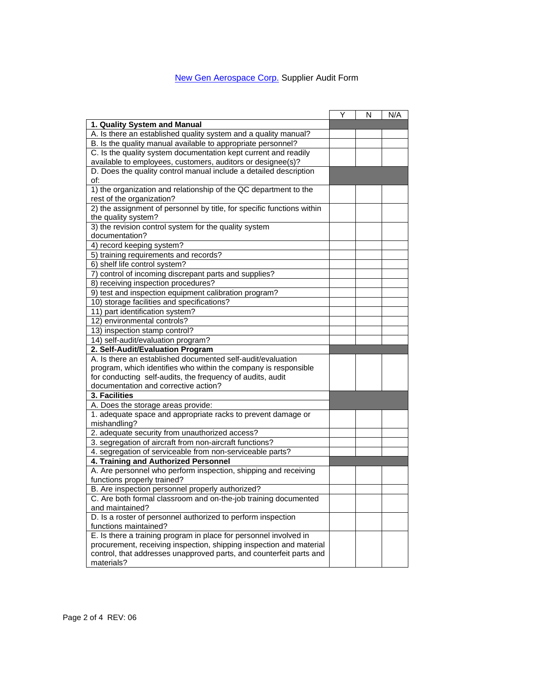## New Gen Aerospace Corp. Supplier Audit Form

|                                                                                                                      | Y | N | N/A |
|----------------------------------------------------------------------------------------------------------------------|---|---|-----|
| 1. Quality System and Manual                                                                                         |   |   |     |
| A. Is there an established quality system and a quality manual?                                                      |   |   |     |
| B. Is the quality manual available to appropriate personnel?                                                         |   |   |     |
| C. Is the quality system documentation kept current and readily                                                      |   |   |     |
| available to employees, customers, auditors or designee(s)?                                                          |   |   |     |
| D. Does the quality control manual include a detailed description                                                    |   |   |     |
| of:                                                                                                                  |   |   |     |
| 1) the organization and relationship of the QC department to the                                                     |   |   |     |
| rest of the organization?                                                                                            |   |   |     |
| 2) the assignment of personnel by title, for specific functions within                                               |   |   |     |
| the quality system?                                                                                                  |   |   |     |
| 3) the revision control system for the quality system                                                                |   |   |     |
| documentation?                                                                                                       |   |   |     |
| 4) record keeping system?                                                                                            |   |   |     |
| 5) training requirements and records?                                                                                |   |   |     |
| 6) shelf life control system?                                                                                        |   |   |     |
| 7) control of incoming discrepant parts and supplies?                                                                |   |   |     |
| 8) receiving inspection procedures?                                                                                  |   |   |     |
| 9) test and inspection equipment calibration program?                                                                |   |   |     |
| 10) storage facilities and specifications?                                                                           |   |   |     |
| 11) part identification system?                                                                                      |   |   |     |
| 12) environmental controls?                                                                                          |   |   |     |
| 13) inspection stamp control?                                                                                        |   |   |     |
| 14) self-audit/evaluation program?                                                                                   |   |   |     |
| 2. Self-Audit/Evaluation Program                                                                                     |   |   |     |
| A. Is there an established documented self-audit/evaluation                                                          |   |   |     |
| program, which identifies who within the company is responsible                                                      |   |   |     |
| for conducting self-audits, the frequency of audits, audit                                                           |   |   |     |
| documentation and corrective action?                                                                                 |   |   |     |
| 3. Facilities                                                                                                        |   |   |     |
| A. Does the storage areas provide:                                                                                   |   |   |     |
| 1. adequate space and appropriate racks to prevent damage or                                                         |   |   |     |
| mishandling?                                                                                                         |   |   |     |
| 2. adequate security from unauthorized access?                                                                       |   |   |     |
| 3. segregation of aircraft from non-aircraft functions?<br>4. segregation of serviceable from non-serviceable parts? |   |   |     |
| 4. Training and Authorized Personnel                                                                                 |   |   |     |
| A. Are personnel who perform inspection, shipping and receiving                                                      |   |   |     |
| functions properly trained?                                                                                          |   |   |     |
| B. Are inspection personnel properly authorized?                                                                     |   |   |     |
| C. Are both formal classroom and on-the-job training documented                                                      |   |   |     |
| and maintained?                                                                                                      |   |   |     |
| D. Is a roster of personnel authorized to perform inspection                                                         |   |   |     |
| functions maintained?                                                                                                |   |   |     |
| E. Is there a training program in place for personnel involved in                                                    |   |   |     |
| procurement, receiving inspection, shipping inspection and material                                                  |   |   |     |
| control, that addresses unapproved parts, and counterfeit parts and                                                  |   |   |     |
| materials?                                                                                                           |   |   |     |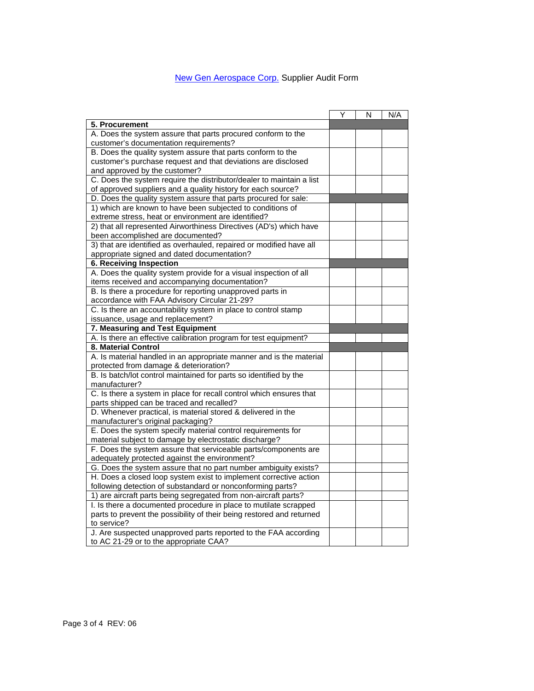## New Gen Aerospace Corp. Supplier Audit Form

|                                                                       | Y | N | N/A |
|-----------------------------------------------------------------------|---|---|-----|
| 5. Procurement                                                        |   |   |     |
| A. Does the system assure that parts procured conform to the          |   |   |     |
| customer's documentation requirements?                                |   |   |     |
| B. Does the quality system assure that parts conform to the           |   |   |     |
| customer's purchase request and that deviations are disclosed         |   |   |     |
| and approved by the customer?                                         |   |   |     |
| C. Does the system require the distributor/dealer to maintain a list  |   |   |     |
| of approved suppliers and a quality history for each source?          |   |   |     |
| D. Does the quality system assure that parts procured for sale:       |   |   |     |
| 1) which are known to have been subjected to conditions of            |   |   |     |
| extreme stress, heat or environment are identified?                   |   |   |     |
| 2) that all represented Airworthiness Directives (AD's) which have    |   |   |     |
| been accomplished are documented?                                     |   |   |     |
| 3) that are identified as overhauled, repaired or modified have all   |   |   |     |
| appropriate signed and dated documentation?                           |   |   |     |
| <b>6. Receiving Inspection</b>                                        |   |   |     |
| A. Does the quality system provide for a visual inspection of all     |   |   |     |
| items received and accompanying documentation?                        |   |   |     |
| B. Is there a procedure for reporting unapproved parts in             |   |   |     |
| accordance with FAA Advisory Circular 21-29?                          |   |   |     |
| C. Is there an accountability system in place to control stamp        |   |   |     |
| issuance, usage and replacement?                                      |   |   |     |
| 7. Measuring and Test Equipment                                       |   |   |     |
| A. Is there an effective calibration program for test equipment?      |   |   |     |
| 8. Material Control                                                   |   |   |     |
| A. Is material handled in an appropriate manner and is the material   |   |   |     |
| protected from damage & deterioration?                                |   |   |     |
| B. Is batch/lot control maintained for parts so identified by the     |   |   |     |
| manufacturer?                                                         |   |   |     |
| C. Is there a system in place for recall control which ensures that   |   |   |     |
| parts shipped can be traced and recalled?                             |   |   |     |
| D. Whenever practical, is material stored & delivered in the          |   |   |     |
| manufacturer's original packaging?                                    |   |   |     |
| E. Does the system specify material control requirements for          |   |   |     |
| material subject to damage by electrostatic discharge?                |   |   |     |
| F. Does the system assure that serviceable parts/components are       |   |   |     |
| adequately protected against the environment?                         |   |   |     |
| G. Does the system assure that no part number ambiguity exists?       |   |   |     |
| H. Does a closed loop system exist to implement corrective action     |   |   |     |
| following detection of substandard or nonconforming parts?            |   |   |     |
| 1) are aircraft parts being segregated from non-aircraft parts?       |   |   |     |
| I. Is there a documented procedure in place to mutilate scrapped      |   |   |     |
| parts to prevent the possibility of their being restored and returned |   |   |     |
| to service?                                                           |   |   |     |
| J. Are suspected unapproved parts reported to the FAA according       |   |   |     |
| to AC 21-29 or to the appropriate CAA?                                |   |   |     |